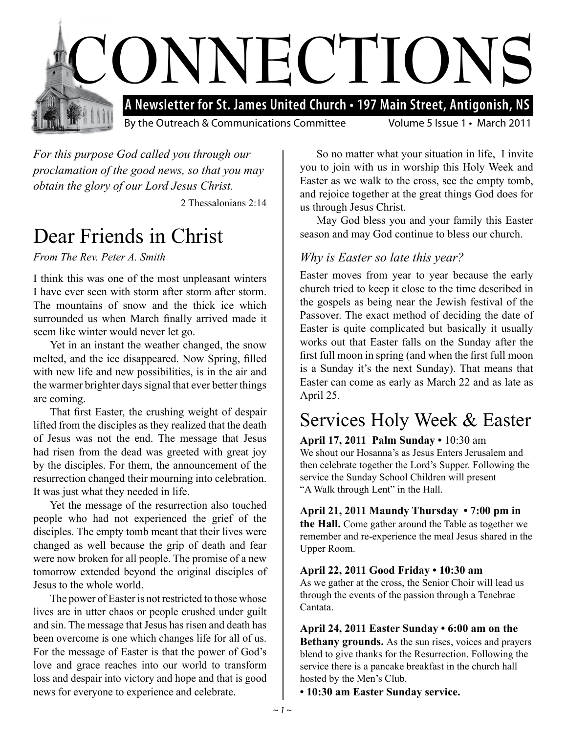

*For this purpose God called you through our proclamation of the good news, so that you may obtain the glory of our Lord Jesus Christ.*

2 Thessalonians 2:14

#### Dear Friends in Christ

*From The Rev. Peter A. Smith*

I think this was one of the most unpleasant winters I have ever seen with storm after storm after storm. The mountains of snow and the thick ice which surrounded us when March finally arrived made it seem like winter would never let go.

Yet in an instant the weather changed, the snow melted, and the ice disappeared. Now Spring, filled with new life and new possibilities, is in the air and the warmer brighter days signal that ever better things are coming.

That first Easter, the crushing weight of despair lifted from the disciples as they realized that the death of Jesus was not the end. The message that Jesus had risen from the dead was greeted with great joy by the disciples. For them, the announcement of the resurrection changed their mourning into celebration. It was just what they needed in life.

Yet the message of the resurrection also touched people who had not experienced the grief of the disciples. The empty tomb meant that their lives were changed as well because the grip of death and fear were now broken for all people. The promise of a new tomorrow extended beyond the original disciples of Jesus to the whole world.

The power of Easter is not restricted to those whose lives are in utter chaos or people crushed under guilt and sin. The message that Jesus has risen and death has been overcome is one which changes life for all of us. For the message of Easter is that the power of God's love and grace reaches into our world to transform loss and despair into victory and hope and that is good news for everyone to experience and celebrate.

So no matter what your situation in life, I invite you to join with us in worship this Holy Week and Easter as we walk to the cross, see the empty tomb, and rejoice together at the great things God does for us through Jesus Christ.

May God bless you and your family this Easter season and may God continue to bless our church.

#### *Why is Easter so late this year?*

Easter moves from year to year because the early church tried to keep it close to the time described in the gospels as being near the Jewish festival of the Passover. The exact method of deciding the date of Easter is quite complicated but basically it usually works out that Easter falls on the Sunday after the first full moon in spring (and when the first full moon is a Sunday it's the next Sunday). That means that Easter can come as early as March 22 and as late as April 25.

#### Services Holy Week & Easter

**April 17, 2011 Palm Sunday •** 10:30 am We shout our Hosanna's as Jesus Enters Jerusalem and then celebrate together the Lord's Supper. Following the service the Sunday School Children will present "A Walk through Lent" in the Hall.

**April 21, 2011 Maundy Thursday • 7:00 pm in the Hall.** Come gather around the Table as together we remember and re-experience the meal Jesus shared in the Upper Room.

#### **April 22, 2011 Good Friday • 10:30 am**

As we gather at the cross, the Senior Choir will lead us through the events of the passion through a Tenebrae Cantata.

**April 24, 2011 Easter Sunday • 6:00 am on the Bethany grounds.** As the sun rises, voices and prayers blend to give thanks for the Resurrection. Following the service there is a pancake breakfast in the church hall hosted by the Men's Club.

**• 10:30 am Easter Sunday service.**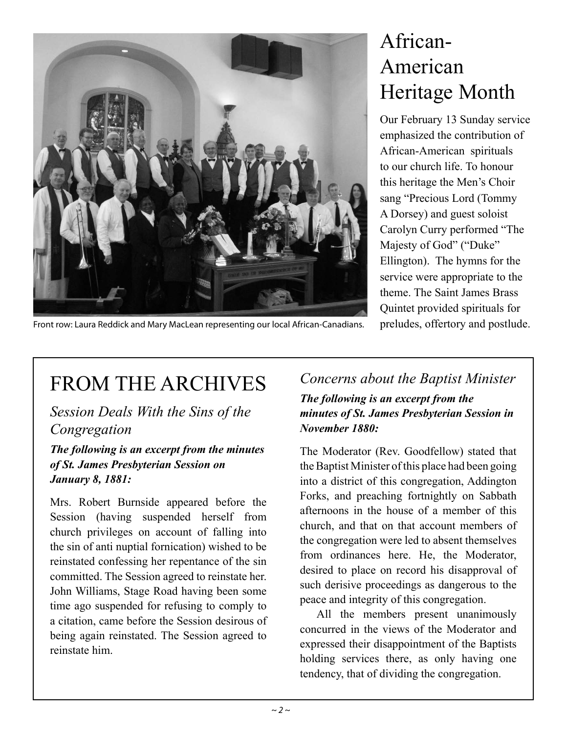

# African-American Heritage Month

Our February 13 Sunday service emphasized the contribution of African-American spirituals to our church life. To honour this heritage the Men's Choir sang "Precious Lord (Tommy A Dorsey) and guest soloist Carolyn Curry performed "The Majesty of God" ("Duke" Ellington). The hymns for the service were appropriate to the theme. The Saint James Brass Quintet provided spirituals for preludes, offertory and postlude.

Front row: Laura Reddick and Mary MacLean representing our local African-Canadians.

# FROM THE ARCHIVES

*Session Deals With the Sins of the Congregation*

*The following is an excerpt from the minutes of St. James Presbyterian Session on January 8, 1881:*

Mrs. Robert Burnside appeared before the Session (having suspended herself from church privileges on account of falling into the sin of anti nuptial fornication) wished to be reinstated confessing her repentance of the sin committed. The Session agreed to reinstate her. John Williams, Stage Road having been some time ago suspended for refusing to comply to a citation, came before the Session desirous of being again reinstated. The Session agreed to reinstate him.

*Concerns about the Baptist Minister The following is an excerpt from the minutes of St. James Presbyterian Session in November 1880:*

The Moderator (Rev. Goodfellow) stated that the Baptist Minister of this place had been going into a district of this congregation, Addington Forks, and preaching fortnightly on Sabbath afternoons in the house of a member of this church, and that on that account members of the congregation were led to absent themselves from ordinances here. He, the Moderator, desired to place on record his disapproval of such derisive proceedings as dangerous to the peace and integrity of this congregation.

All the members present unanimously concurred in the views of the Moderator and expressed their disappointment of the Baptists holding services there, as only having one tendency, that of dividing the congregation.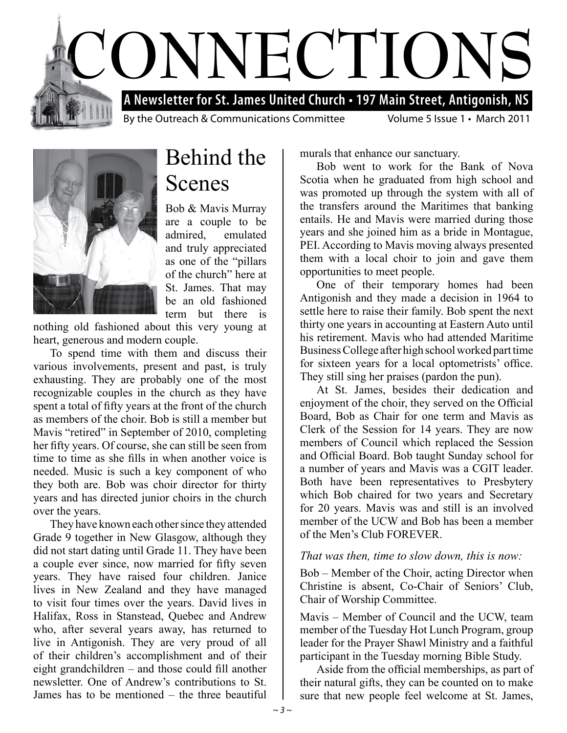



Behind the Scenes

Bob & Mavis Murray are a couple to be admired, emulated and truly appreciated as one of the "pillars of the church" here at St. James. That may be an old fashioned term but there is

nothing old fashioned about this very young at heart, generous and modern couple.

To spend time with them and discuss their various involvements, present and past, is truly exhausting. They are probably one of the most recognizable couples in the church as they have spent a total of fifty years at the front of the church as members of the choir. Bob is still a member but Mavis "retired" in September of 2010, completing her fifty years. Of course, she can still be seen from time to time as she fills in when another voice is needed. Music is such a key component of who they both are. Bob was choir director for thirty years and has directed junior choirs in the church over the years.

They have known each other since they attended Grade 9 together in New Glasgow, although they did not start dating until Grade 11. They have been a couple ever since, now married for fifty seven years. They have raised four children. Janice lives in New Zealand and they have managed to visit four times over the years. David lives in Halifax, Ross in Stanstead, Quebec and Andrew who, after several years away, has returned to live in Antigonish. They are very proud of all of their children's accomplishment and of their eight grandchildren – and those could fill another newsletter. One of Andrew's contributions to St. James has to be mentioned – the three beautiful

murals that enhance our sanctuary.

Bob went to work for the Bank of Nova Scotia when he graduated from high school and was promoted up through the system with all of the transfers around the Maritimes that banking entails. He and Mavis were married during those years and she joined him as a bride in Montague, PEI. According to Mavis moving always presented them with a local choir to join and gave them opportunities to meet people.

One of their temporary homes had been Antigonish and they made a decision in 1964 to settle here to raise their family. Bob spent the next thirty one years in accounting at Eastern Auto until his retirement. Mavis who had attended Maritime Business College after high school worked part time for sixteen years for a local optometrists' office. They still sing her praises (pardon the pun).

At St. James, besides their dedication and enjoyment of the choir, they served on the Official Board, Bob as Chair for one term and Mavis as Clerk of the Session for 14 years. They are now members of Council which replaced the Session and Official Board. Bob taught Sunday school for a number of years and Mavis was a CGIT leader. Both have been representatives to Presbytery which Bob chaired for two years and Secretary for 20 years. Mavis was and still is an involved member of the UCW and Bob has been a member of the Men's Club FOREVER.

#### *That was then, time to slow down, this is now:*

Bob – Member of the Choir, acting Director when Christine is absent, Co-Chair of Seniors' Club, Chair of Worship Committee.

Mavis – Member of Council and the UCW, team member of the Tuesday Hot Lunch Program, group leader for the Prayer Shawl Ministry and a faithful participant in the Tuesday morning Bible Study.

Aside from the official memberships, as part of their natural gifts, they can be counted on to make sure that new people feel welcome at St. James,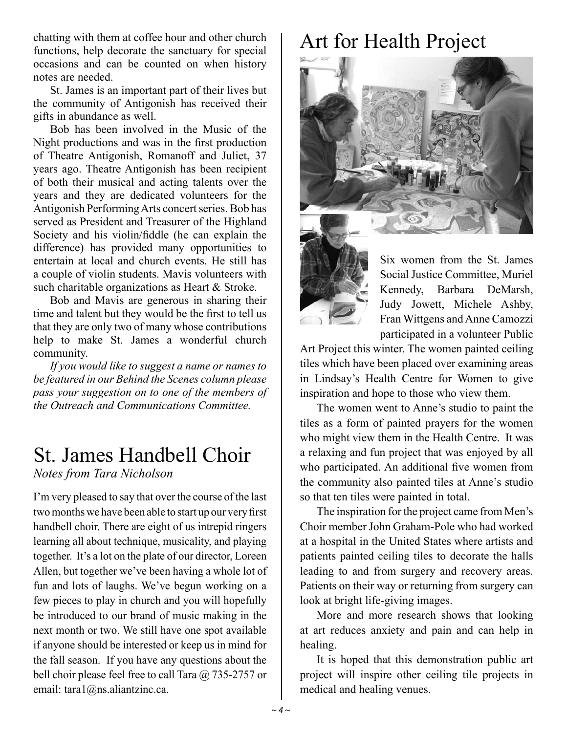chatting with them at coffee hour and other church functions, help decorate the sanctuary for special occasions and can be counted on when history notes are needed.

St. James is an important part of their lives but the community of Antigonish has received their gifts in abundance as well.

Bob has been involved in the Music of the Night productions and was in the first production of Theatre Antigonish, Romanoff and Juliet, 37 years ago. Theatre Antigonish has been recipient of both their musical and acting talents over the years and they are dedicated volunteers for the Antigonish Performing Arts concert series. Bob has served as President and Treasurer of the Highland Society and his violin/fiddle (he can explain the difference) has provided many opportunities to entertain at local and church events. He still has a couple of violin students. Mavis volunteers with such charitable organizations as Heart & Stroke.

Bob and Mavis are generous in sharing their time and talent but they would be the first to tell us that they are only two of many whose contributions help to make St. James a wonderful church community.

*If you would like to suggest a name or names to be featured in our Behind the Scenes column please pass your suggestion on to one of the members of the Outreach and Communications Committee.*

#### St. James Handbell Choir

*Notes from Tara Nicholson*

I'm very pleased to say that over the course of the last two months we have been able to start up our very first handbell choir. There are eight of us intrepid ringers learning all about technique, musicality, and playing together. It's a lot on the plate of our director, Loreen Allen, but together we've been having a whole lot of fun and lots of laughs. We've begun working on a few pieces to play in church and you will hopefully be introduced to our brand of music making in the next month or two. We still have one spot available if anyone should be interested or keep us in mind for the fall season. If you have any questions about the bell choir please feel free to call Tara @ 735-2757 or email: tara1@ns.aliantzinc.ca.

# Art for Health Project





Six women from the St. James Social Justice Committee, Muriel Kennedy, Barbara DeMarsh, Judy Jowett, Michele Ashby, Fran Wittgens and Anne Camozzi participated in a volunteer Public

Art Project this winter. The women painted ceiling tiles which have been placed over examining areas in Lindsay's Health Centre for Women to give inspiration and hope to those who view them.

The women went to Anne's studio to paint the tiles as a form of painted prayers for the women who might view them in the Health Centre. It was a relaxing and fun project that was enjoyed by all who participated. An additional five women from the community also painted tiles at Anne's studio so that ten tiles were painted in total.

The inspiration for the project came from Men's Choir member John Graham-Pole who had worked at a hospital in the United States where artists and patients painted ceiling tiles to decorate the halls leading to and from surgery and recovery areas. Patients on their way or returning from surgery can look at bright life-giving images.

More and more research shows that looking at art reduces anxiety and pain and can help in healing.

It is hoped that this demonstration public art project will inspire other ceiling tile projects in medical and healing venues.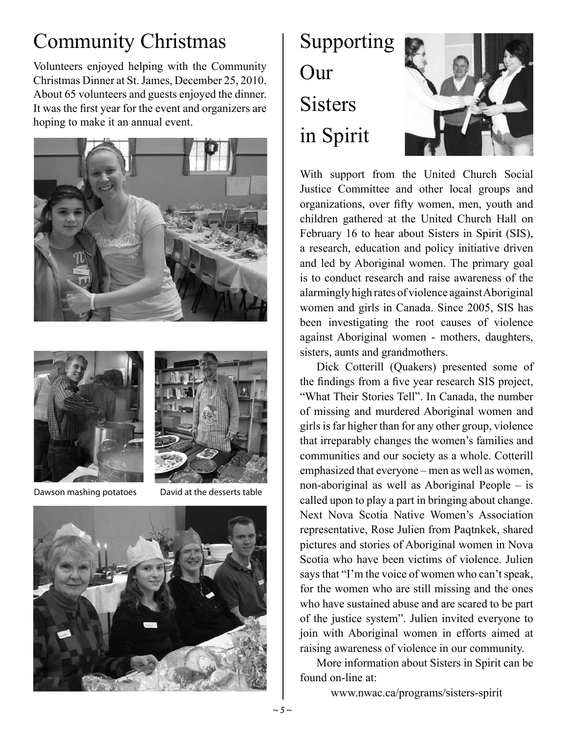## Community Christmas

Volunteers enjoyed helping with the Community Christmas Dinner at St. James, December 25, 2010. About 65 volunteers and guests enjoyed the dinner. It was the first year for the event and organizers are hoping to make it an annual event.





Dawson mashing potatoes David at the desserts table









With support from the United Church Social Justice Committee and other local groups and organizations, over fifty women, men, youth and children gathered at the United Church Hall on February 16 to hear about Sisters in Spirit (SIS), a research, education and policy initiative driven and led by Aboriginal women. The primary goal is to conduct research and raise awareness of the alarmingly high rates of violence against Aboriginal women and girls in Canada. Since 2005, SIS has been investigating the root causes of violence against Aboriginal women - mothers, daughters, sisters, aunts and grandmothers.

Dick Cotterill (Quakers) presented some of the findings from a five year research SIS project, "What Their Stories Tell". In Canada, the number of missing and murdered Aboriginal women and girls is far higher than for any other group, violence that irreparably changes the women's families and communities and our society as a whole. Cotterill emphasized that everyone – men as well as women, non-aboriginal as well as Aboriginal People – is called upon to play a part in bringing about change. Next Nova Scotia Native Women's Association representative, Rose Julien from Paqtnkek, shared pictures and stories of Aboriginal women in Nova Scotia who have been victims of violence. Julien says that "I'm the voice of women who can't speak, for the women who are still missing and the ones who have sustained abuse and are scared to be part of the justice system". Julien invited everyone to join with Aboriginal women in efforts aimed at raising awareness of violence in our community.

More information about Sisters in Spirit can be found on-line at:

www.nwac.ca/programs/sisters-spirit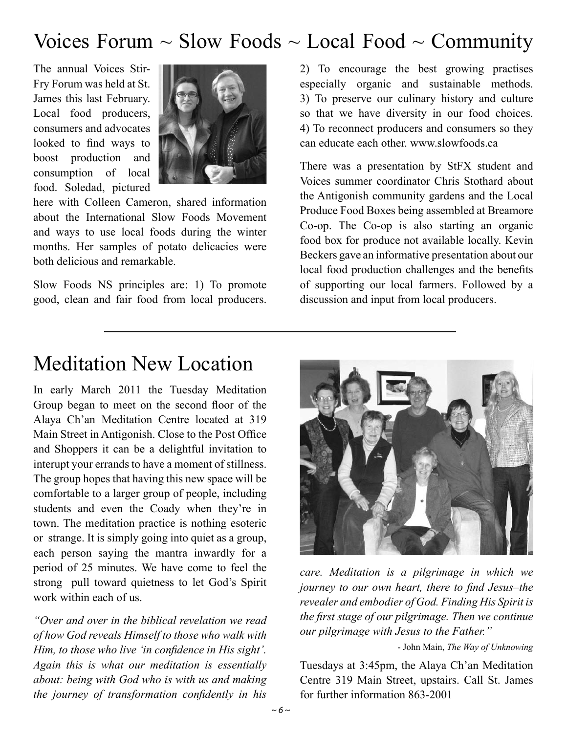#### Voices Forum  $\sim$  Slow Foods  $\sim$  Local Food  $\sim$  Community

The annual Voices Stir-Fry Forum was held at St. James this last February. Local food producers, consumers and advocates looked to find ways to boost production and consumption of local food. Soledad, pictured



here with Colleen Cameron, shared information about the International Slow Foods Movement and ways to use local foods during the winter months. Her samples of potato delicacies were both delicious and remarkable.

Slow Foods NS principles are: 1) To promote good, clean and fair food from local producers. 2) To encourage the best growing practises especially organic and sustainable methods. 3) To preserve our culinary history and culture so that we have diversity in our food choices. 4) To reconnect producers and consumers so they can educate each other. www.slowfoods.ca

There was a presentation by StFX student and Voices summer coordinator Chris Stothard about the Antigonish community gardens and the Local Produce Food Boxes being assembled at Breamore Co-op. The Co-op is also starting an organic food box for produce not available locally. Kevin Beckers gave an informative presentation about our local food production challenges and the benefits of supporting our local farmers. Followed by a discussion and input from local producers.

#### Meditation New Location

In early March 2011 the Tuesday Meditation Group began to meet on the second floor of the Alaya Ch'an Meditation Centre located at 319 Main Street in Antigonish. Close to the Post Office and Shoppers it can be a delightful invitation to interupt your errands to have a moment of stillness. The group hopes that having this new space will be comfortable to a larger group of people, including students and even the Coady when they're in town. The meditation practice is nothing esoteric or strange. It is simply going into quiet as a group, each person saying the mantra inwardly for a period of 25 minutes. We have come to feel the strong pull toward quietness to let God's Spirit work within each of us.

*"Over and over in the biblical revelation we read of how God reveals Himself to those who walk with Him, to those who live 'in confidence in His sight'. Again this is what our meditation is essentially about: being with God who is with us and making the journey of transformation confidently in his* 



*care. Meditation is a pilgrimage in which we journey to our own heart, there to find Jesus–the revealer and embodier of God. Finding His Spirit is the first stage of our pilgrimage. Then we continue our pilgrimage with Jesus to the Father."*

- John Main, *The Way of Unknowing*

Tuesdays at 3:45pm, the Alaya Ch'an Meditation Centre 319 Main Street, upstairs. Call St. James for further information 863-2001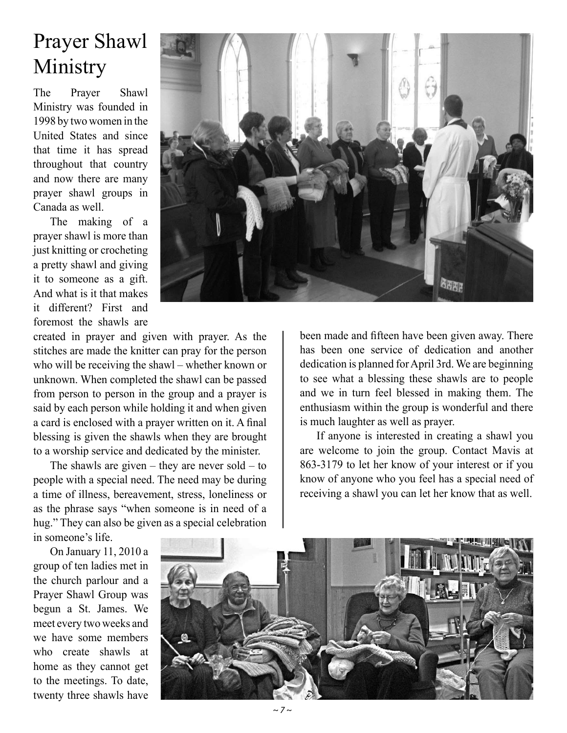### Prayer Shawl Ministry

The Prayer Shawl Ministry was founded in 1998 by two women in the United States and since that time it has spread throughout that country and now there are many prayer shawl groups in Canada as well.

The making of a prayer shawl is more than just knitting or crocheting a pretty shawl and giving it to someone as a gift. And what is it that makes it different? First and foremost the shawls are

created in prayer and given with prayer. As the stitches are made the knitter can pray for the person who will be receiving the shawl – whether known or unknown. When completed the shawl can be passed from person to person in the group and a prayer is said by each person while holding it and when given a card is enclosed with a prayer written on it. A final blessing is given the shawls when they are brought to a worship service and dedicated by the minister.

The shawls are given – they are never sold – to people with a special need. The need may be during a time of illness, bereavement, stress, loneliness or as the phrase says "when someone is in need of a hug." They can also be given as a special celebration

in someone's life.

On January 11, 2010 a group of ten ladies met in the church parlour and a Prayer Shawl Group was begun a St. James. We meet every two weeks and we have some members who create shawls at home as they cannot get to the meetings. To date, twenty three shawls have



been made and fifteen have been given away. There has been one service of dedication and another dedication is planned for April 3rd. We are beginning to see what a blessing these shawls are to people and we in turn feel blessed in making them. The enthusiasm within the group is wonderful and there is much laughter as well as prayer.

If anyone is interested in creating a shawl you are welcome to join the group. Contact Mavis at 863-3179 to let her know of your interest or if you know of anyone who you feel has a special need of receiving a shawl you can let her know that as well.



*~ 7 ~*